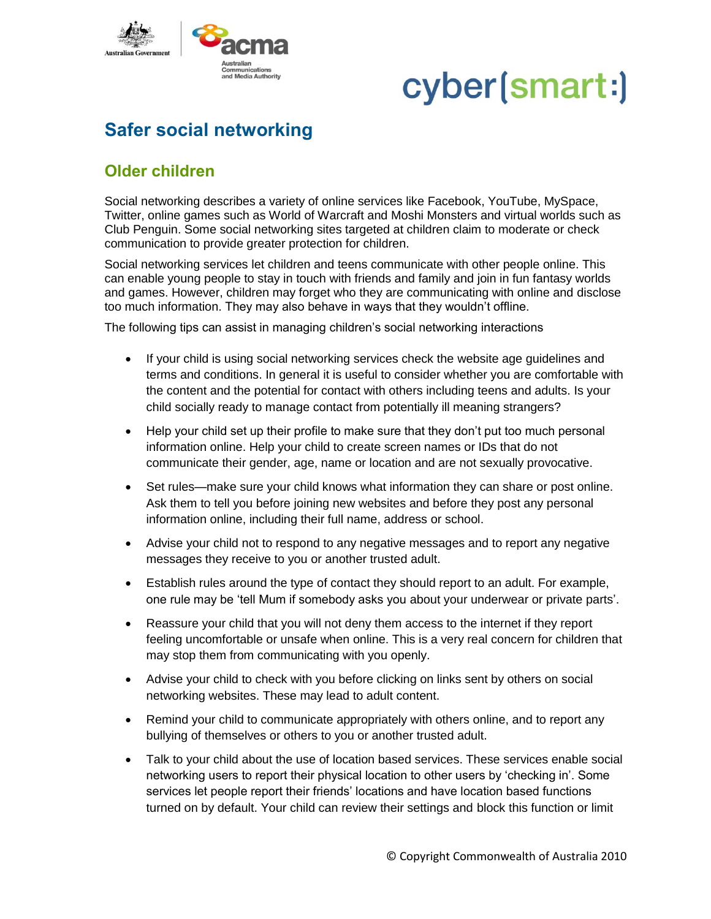

## cyber(smart:)

### **Safer social networking**

### **Older children**

Social networking describes a variety of online services like Facebook, YouTube, MySpace, Twitter, online games such as World of Warcraft and Moshi Monsters and virtual worlds such as Club Penguin. Some social networking sites targeted at children claim to moderate or check communication to provide greater protection for children.

Social networking services let children and teens communicate with other people online. This can enable young people to stay in touch with friends and family and join in fun fantasy worlds and games. However, children may forget who they are communicating with online and disclose too much information. They may also behave in ways that they wouldn't offline.

The following tips can assist in managing children's social networking interactions

- If your child is using social networking services check the website age guidelines and terms and conditions. In general it is useful to consider whether you are comfortable with the content and the potential for contact with others including teens and adults. Is your child socially ready to manage contact from potentially ill meaning strangers?
- Help your child set up their profile to make sure that they don't put too much personal information online. Help your child to create screen names or IDs that do not communicate their gender, age, name or location and are not sexually provocative.
- Set rules—make sure your child knows what information they can share or post online. Ask them to tell you before joining new websites and before they post any personal information online, including their full name, address or school.
- Advise your child not to respond to any negative messages and to report any negative messages they receive to you or another trusted adult.
- Establish rules around the type of contact they should report to an adult. For example, one rule may be 'tell Mum if somebody asks you about your underwear or private parts'.
- Reassure your child that you will not deny them access to the internet if they report feeling uncomfortable or unsafe when online. This is a very real concern for children that may stop them from communicating with you openly.
- Advise your child to check with you before clicking on links sent by others on social networking websites. These may lead to adult content.
- Remind your child to communicate appropriately with others online, and to report any bullying of themselves or others to you or another trusted adult.
- Talk to your child about the use of location based services. These services enable social networking users to report their physical location to other users by 'checking in'. Some services let people report their friends' locations and have location based functions turned on by default. Your child can review their settings and block this function or limit